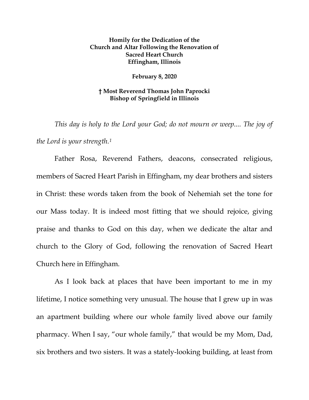## **Homily for the Dedication of the Church and Altar Following the Renovation of Sacred Heart Church Effingham, Illinois**

## **February 8, 2020**

## **† Most Reverend Thomas John Paprocki Bishop of Springfield in Illinois**

*This day is holy to the Lord your God; do not mourn or weep.... The joy of the Lord is your strength.[1](#page-7-0)*

Father Rosa, Reverend Fathers, deacons, consecrated religious, members of Sacred Heart Parish in Effingham, my dear brothers and sisters in Christ: these words taken from the book of Nehemiah set the tone for our Mass today. It is indeed most fitting that we should rejoice, giving praise and thanks to God on this day, when we dedicate the altar and church to the Glory of God, following the renovation of Sacred Heart Church here in Effingham.

As I look back at places that have been important to me in my lifetime, I notice something very unusual. The house that I grew up in was an apartment building where our whole family lived above our family pharmacy. When I say, "our whole family," that would be my Mom, Dad, six brothers and two sisters. It was a stately-looking building, at least from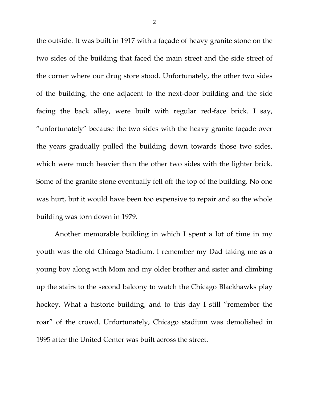the outside. It was built in 1917 with a façade of heavy granite stone on the two sides of the building that faced the main street and the side street of the corner where our drug store stood. Unfortunately, the other two sides of the building, the one adjacent to the next-door building and the side facing the back alley, were built with regular red-face brick. I say, "unfortunately" because the two sides with the heavy granite façade over the years gradually pulled the building down towards those two sides, which were much heavier than the other two sides with the lighter brick. Some of the granite stone eventually fell off the top of the building. No one was hurt, but it would have been too expensive to repair and so the whole building was torn down in 1979.

Another memorable building in which I spent a lot of time in my youth was the old Chicago Stadium. I remember my Dad taking me as a young boy along with Mom and my older brother and sister and climbing up the stairs to the second balcony to watch the Chicago Blackhawks play hockey. What a historic building, and to this day I still "remember the roar" of the crowd. Unfortunately, Chicago stadium was demolished in 1995 after the United Center was built across the street.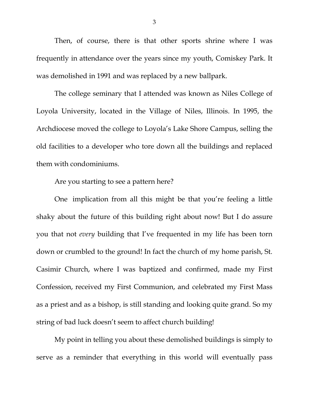Then, of course, there is that other sports shrine where I was frequently in attendance over the years since my youth, Comiskey Park. It was demolished in 1991 and was replaced by a new ballpark.

The college seminary that I attended was known as Niles College of Loyola University, located in the Village of Niles, Illinois. In 1995, the Archdiocese moved the college to Loyola's Lake Shore Campus, selling the old facilities to a developer who tore down all the buildings and replaced them with condominiums.

Are you starting to see a pattern here?

One implication from all this might be that you're feeling a little shaky about the future of this building right about now! But I do assure you that not *every* building that I've frequented in my life has been torn down or crumbled to the ground! In fact the church of my home parish, St. Casimir Church, where I was baptized and confirmed, made my First Confession, received my First Communion, and celebrated my First Mass as a priest and as a bishop, is still standing and looking quite grand. So my string of bad luck doesn't seem to affect church building!

My point in telling you about these demolished buildings is simply to serve as a reminder that everything in this world will eventually pass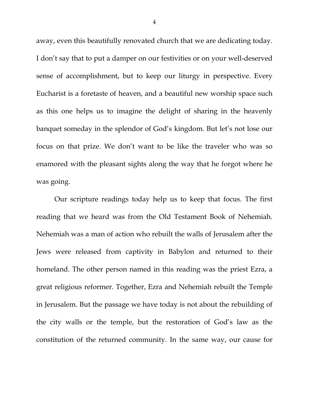away, even this beautifully renovated church that we are dedicating today. I don't say that to put a damper on our festivities or on your well-deserved sense of accomplishment, but to keep our liturgy in perspective. Every Eucharist is a foretaste of heaven, and a beautiful new worship space such as this one helps us to imagine the delight of sharing in the heavenly banquet someday in the splendor of God's kingdom. But let's not lose our focus on that prize. We don't want to be like the traveler who was so enamored with the pleasant sights along the way that he forgot where he was going.

Our scripture readings today help us to keep that focus. The first reading that we heard was from the Old Testament Book of Nehemiah. Nehemiah was a man of action who rebuilt the walls of Jerusalem after the Jews were released from captivity in Babylon and returned to their homeland. The other person named in this reading was the priest Ezra, a great religious reformer. Together, Ezra and Nehemiah rebuilt the Temple in Jerusalem. But the passage we have today is not about the rebuilding of the city walls or the temple, but the restoration of God's law as the constitution of the returned community. In the same way, our cause for

4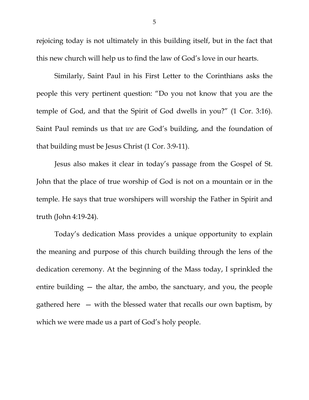rejoicing today is not ultimately in this building itself, but in the fact that this new church will help us to find the law of God's love in our hearts.

Similarly, Saint Paul in his First Letter to the Corinthians asks the people this very pertinent question: "Do you not know that you are the temple of God, and that the Spirit of God dwells in you?" (1 Cor. 3:16). Saint Paul reminds us that *we* are God's building, and the foundation of that building must be Jesus Christ (1 Cor. 3:9-11).

Jesus also makes it clear in today's passage from the Gospel of St. John that the place of true worship of God is not on a mountain or in the temple. He says that true worshipers will worship the Father in Spirit and truth (John 4:19-24).

Today's dedication Mass provides a unique opportunity to explain the meaning and purpose of this church building through the lens of the dedication ceremony. At the beginning of the Mass today, I sprinkled the entire building — the altar, the ambo, the sanctuary, and you, the people gathered here — with the blessed water that recalls our own baptism, by which we were made us a part of God's holy people.

5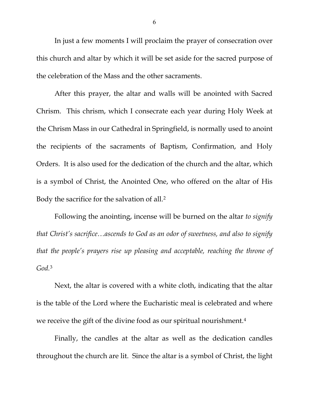In just a few moments I will proclaim the prayer of consecration over this church and altar by which it will be set aside for the sacred purpose of the celebration of the Mass and the other sacraments.

After this prayer, the altar and walls will be anointed with Sacred Chrism. This chrism, which I consecrate each year during Holy Week at the Chrism Mass in our Cathedral in Springfield, is normally used to anoint the recipients of the sacraments of Baptism, Confirmation, and Holy Orders. It is also used for the dedication of the church and the altar, which is a symbol of Christ, the Anointed One, who offered on the altar of His Body the sacrifice for the salvation of all.[2](#page-7-1)

Following the anointing, incense will be burned on the altar *to signify that Christ's sacrifice…ascends to God as an odor of sweetness, and also to signify that the people's prayers rise up pleasing and acceptable, reaching the throne of God.*[3](#page-7-2)

Next, the altar is covered with a white cloth, indicating that the altar is the table of the Lord where the Eucharistic meal is celebrated and where we receive the gift of the divine food as our spiritual nourishment.[4](#page-7-3) 

Finally, the candles at the altar as well as the dedication candles throughout the church are lit. Since the altar is a symbol of Christ, the light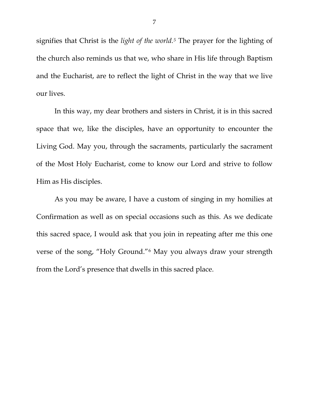signifies that Christ is the *light of the world.[5](#page-7-4)* The prayer for the lighting of the church also reminds us that we, who share in His life through Baptism and the Eucharist, are to reflect the light of Christ in the way that we live our lives.

In this way, my dear brothers and sisters in Christ, it is in this sacred space that we, like the disciples, have an opportunity to encounter the Living God. May you, through the sacraments, particularly the sacrament of the Most Holy Eucharist, come to know our Lord and strive to follow Him as His disciples.

As you may be aware, I have a custom of singing in my homilies at Confirmation as well as on special occasions such as this. As we dedicate this sacred space, I would ask that you join in repeating after me this one verse of the song, "Holy Ground."[6](#page-7-5) May you always draw your strength from the Lord's presence that dwells in this sacred place.